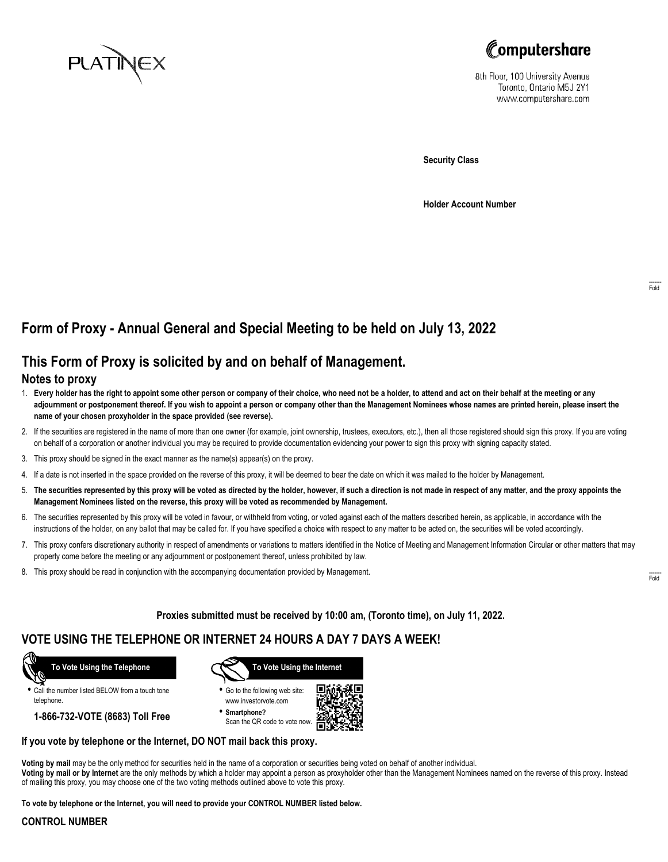



8th Floor, 100 University Avenue Toronto, Ontario M5J 2Y1 www.computershare.com

**Security Class**

**Holder Account Number**

## **Form of Proxy - Annual General and Special Meeting to be held on July 13, 2022**

# **This Form of Proxy is solicited by and on behalf of Management.**

### **Notes to proxy**

- 1. **Every holder has the right to appoint some other person or company of their choice, who need not be a holder, to attend and act on their behalf at the meeting or any adjournment or postponement thereof. If you wish to appoint a person or company other than the Management Nominees whose names are printed herein, please insert the name of your chosen proxyholder in the space provided (see reverse).**
- 2. If the securities are registered in the name of more than one owner (for example, joint ownership, trustees, executors, etc.), then all those registered should sign this proxy. If you are voting on behalf of a corporation or another individual you may be required to provide documentation evidencing your power to sign this proxy with signing capacity stated.
- 3. This proxy should be signed in the exact manner as the name(s) appear(s) on the proxy.
- 4. If a date is not inserted in the space provided on the reverse of this proxy, it will be deemed to bear the date on which it was mailed to the holder by Management.
- 5. **The securities represented by this proxy will be voted as directed by the holder, however, if such a direction is not made in respect of any matter, and the proxy appoints the Management Nominees listed on the reverse, this proxy will be voted as recommended by Management.**
- 6. The securities represented by this proxy will be voted in favour, or withheld from voting, or voted against each of the matters described herein, as applicable, in accordance with the instructions of the holder, on any ballot that may be called for. If you have specified a choice with respect to any matter to be acted on, the securities will be voted accordingly.
- 7. This proxy confers discretionary authority in respect of amendments or variations to matters identified in the Notice of Meeting and Management Information Circular or other matters that may properly come before the meeting or any adjournment or postponement thereof, unless prohibited by law.
- 8. This proxy should be read in conjunction with the accompanying documentation provided by Management.

**Proxies submitted must be received by 10:00 am, (Toronto time), on July 11, 2022.**

## **VOTE USING THE TELEPHONE OR INTERNET 24 HOURS A DAY 7 DAYS A WEEK!**



**•** Call the number listed BELOW from a touch tone telephone.

**1-866-732-VOTE (8683) Toll Free**



**•** Go to the following web site: www.investorvote.com

**• Smartphone?** Scan the QR code to vote now.



#### **If you vote by telephone or the Internet, DO NOT mail back this proxy.**

**Voting by mail** may be the only method for securities held in the name of a corporation or securities being voted on behalf of another individual. **Voting by mail or by Internet** are the only methods by which a holder may appoint a person as proxyholder other than the Management Nominees named on the reverse of this proxy. Instead of mailing this proxy, you may choose one of the two voting methods outlined above to vote this proxy.

**To vote by telephone or the Internet, you will need to provide your CONTROL NUMBER listed below.**

#### **CONTROL NUMBER**